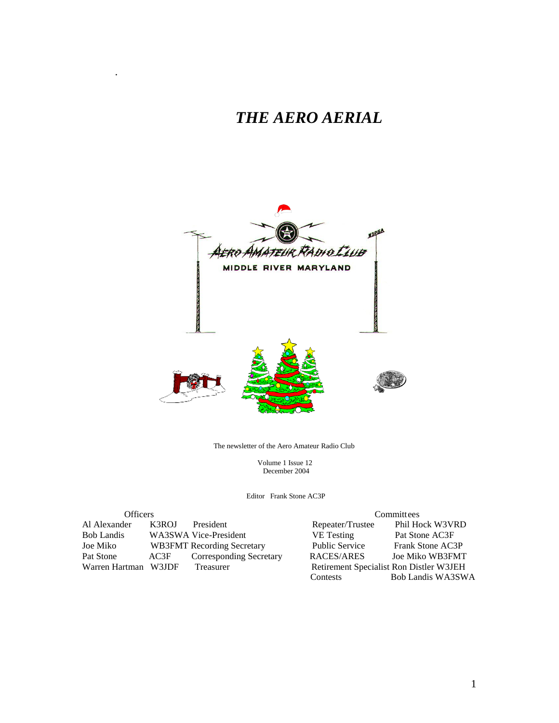## *THE AERO AERIAL*

.



The newsletter of the Aero Amateur Radio Club

 Volume 1 Issue 12 December 2004

Editor Frank Stone AC3P

| <b>Officers</b>      |       |                                   |                                         | Committees        |  |
|----------------------|-------|-----------------------------------|-----------------------------------------|-------------------|--|
| Al Alexander         | K3ROJ | President                         | Repeater/Trustee                        | Phil Hock W3VRD   |  |
| <b>Bob Landis</b>    |       | WA3SWA Vice-President             | <b>VE</b> Testing                       | Pat Stone AC3F    |  |
| Joe Miko             |       | <b>WB3FMT</b> Recording Secretary | <b>Public Service</b>                   | Frank Stone AC3P  |  |
| Pat Stone            | AC3F  | Corresponding Secretary           | RACES/ARES                              | Joe Miko WB3FMT   |  |
| Warren Hartman W3JDF |       | Treasurer                         | Retirement Specialist Ron Distler W3JEH |                   |  |
|                      |       |                                   | Contests                                | Bob Landis WA3SWA |  |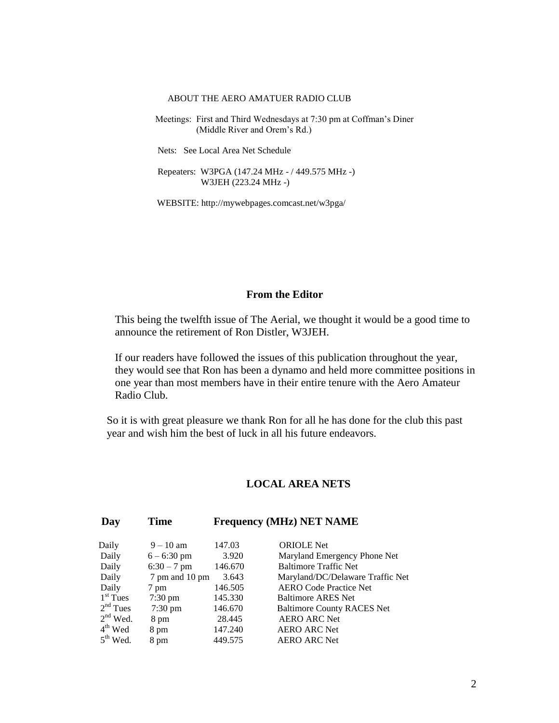#### ABOUT THE AERO AMATUER RADIO CLUB

 Meetings: First and Third Wednesdays at 7:30 pm at Coffman's Diner (Middle River and Orem's Rd.)

Nets: See Local Area Net Schedule

 Repeaters: W3PGA (147.24 MHz - / 449.575 MHz -) W3JEH (223.24 MHz -)

WEBSITE: http://mywebpages.comcast.net/w3pga/

#### **From the Editor**

This being the twelfth issue of The Aerial, we thought it would be a good time to announce the retirement of Ron Distler, W3JEH.

If our readers have followed the issues of this publication throughout the year, they would see that Ron has been a dynamo and held more committee positions in one year than most members have in their entire tenure with the Aero Amateur Radio Club.

So it is with great pleasure we thank Ron for all he has done for the club this past year and wish him the best of luck in all his future endeavors.

#### **LOCAL AREA NETS**

#### **Day Time Frequency (MHz) NET NAME**

| Daily         | $9 - 10$ am       | 147.03  | <b>ORIOLE</b> Net                 |
|---------------|-------------------|---------|-----------------------------------|
| Daily         | $6 - 6:30$ pm     | 3.920   | Maryland Emergency Phone Net      |
| Daily         | $6:30 - 7$ pm     | 146.670 | <b>Baltimore Traffic Net</b>      |
| Daily         | 7 pm and 10 pm    | 3.643   | Maryland/DC/Delaware Traffic Net  |
| Daily         | 7 pm              | 146.505 | <b>AERO Code Practice Net</b>     |
| $1st$ Tues    | $7:30$ pm         | 145.330 | <b>Baltimore ARES Net</b>         |
| $2nd$ Tues    | $7:30 \text{ pm}$ | 146.670 | <b>Baltimore County RACES Net</b> |
| $2nd$ Wed.    | 8 pm              | 28.445  | <b>AERO ARC Net</b>               |
| $4th$ Wed     | 8 pm              | 147.240 | <b>AERO ARC Net</b>               |
| $5^{th}$ Wed. | 8 pm              | 449.575 | <b>AERO ARC Net</b>               |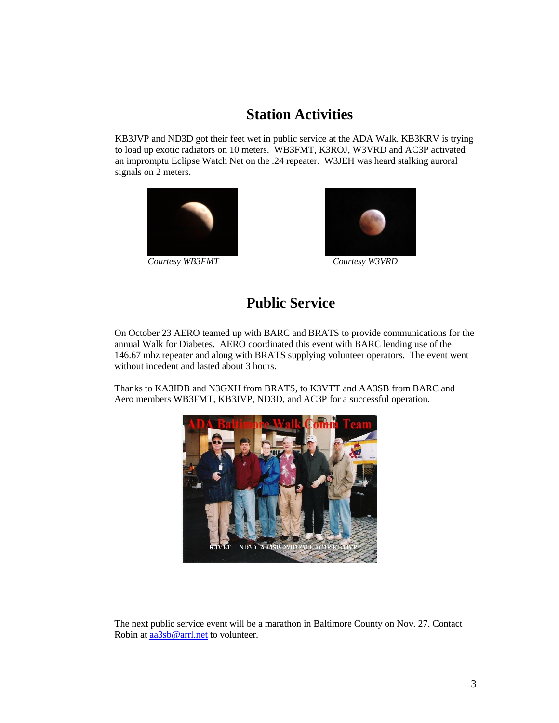### **Station Activities**

KB3JVP and ND3D got their feet wet in public service at the ADA Walk. KB3KRV is trying to load up exotic radiators on 10 meters. WB3FMT, K3ROJ, W3VRD and AC3P activated an impromptu Eclipse Watch Net on the .24 repeater. W3JEH was heard stalking auroral signals on 2 meters.



*Courtesy WB3FMT Courtesy W3VRD*



### **Public Service**

On October 23 AERO teamed up with BARC and BRATS to provide communications for the annual Walk for Diabetes. AERO coordinated this event with BARC lending use of the 146.67 mhz repeater and along with BRATS supplying volunteer operators. The event went without incedent and lasted about 3 hours.

Thanks to KA3IDB and N3GXH from BRATS, to K3VTT and AA3SB from BARC and Aero members WB3FMT, KB3JVP, ND3D, and AC3P for a successful operation.



The next public service event will be a marathon in Baltimore County on Nov. 27. Contact Robin at [aa3sb@arrl.net](mailto:aa3sb@arrl.net) to volunteer.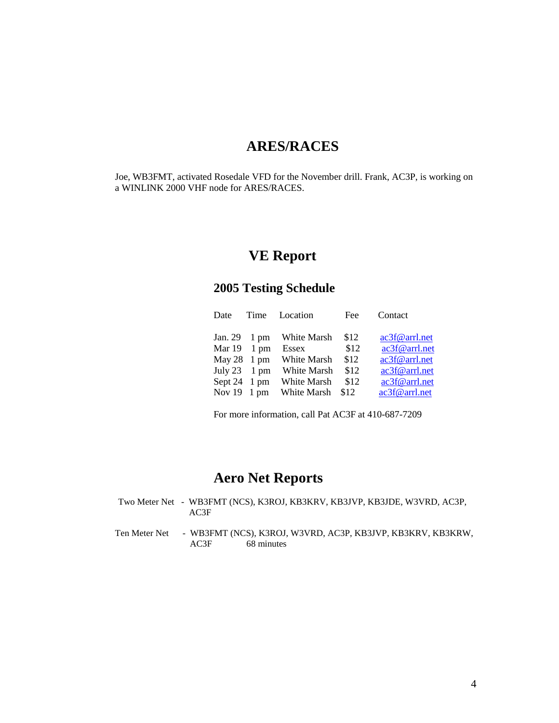### **ARES/RACES**

Joe, WB3FMT, activated Rosedale VFD for the November drill. Frank, AC3P, is working on a WINLINK 2000 VHF node for ARES/RACES.

### **VE Report**

#### **2005 Testing Schedule**

| Date                         | Time | Location     | Fee  | Contact       |
|------------------------------|------|--------------|------|---------------|
| Jan. $29 \quad 1 \text{ pm}$ |      | White Marsh  | \$12 | ac3f@arrl.net |
| Mar $19 \quad 1 \text{ pm}$  |      | <b>Essex</b> | \$12 | ac3f@arrl.net |
| May $28 \text{ 1 pm}$        |      | White Marsh  | \$12 | ac3f@arrl.net |
| July $23 \t 1 \text{ pm}$    |      | White Marsh  | \$12 | ac3f@arrl.net |
| Sept 24 1 pm                 |      | White Marsh  | \$12 | ac3f@arrl.net |
| Nov $19 \t 1 \text{ pm}$     |      | White Marsh  | \$12 | ac3f@arrl.net |

For more information, call Pat AC3F at 410-687-7209

### **Aero Net Reports**

- Two Meter Net WB3FMT (NCS), K3ROJ, KB3KRV, KB3JVP, KB3JDE, W3VRD, AC3P, AC3F
- Ten Meter Net WB3FMT (NCS), K3ROJ, W3VRD, AC3P, KB3JVP, KB3KRV, KB3KRW, AC3F 68 minutes 68 minutes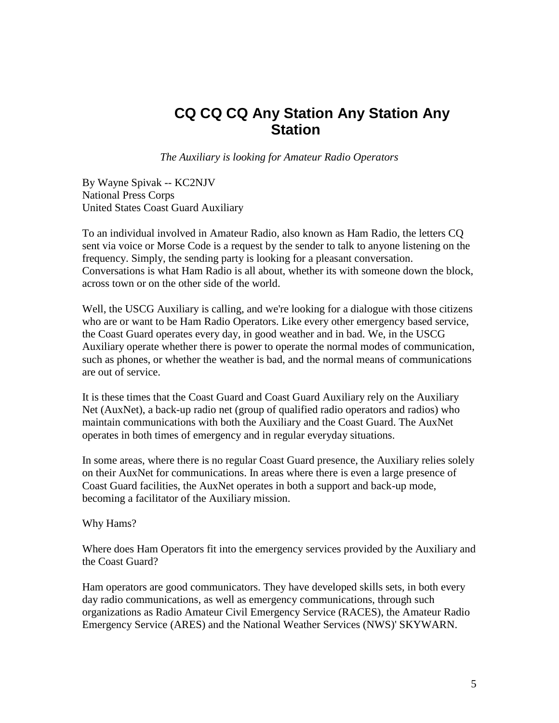### **CQ CQ CQ Any Station Any Station Any Station**

*The Auxiliary is looking for Amateur Radio Operators*

By Wayne Spivak -- KC2NJV National Press Corps United States Coast Guard Auxiliary

To an individual involved in Amateur Radio, also known as Ham Radio, the letters CQ sent via voice or Morse Code is a request by the sender to talk to anyone listening on the frequency. Simply, the sending party is looking for a pleasant conversation. Conversations is what Ham Radio is all about, whether its with someone down the block, across town or on the other side of the world.

Well, the USCG Auxiliary is calling, and we're looking for a dialogue with those citizens who are or want to be Ham Radio Operators. Like every other emergency based service, the Coast Guard operates every day, in good weather and in bad. We, in the USCG Auxiliary operate whether there is power to operate the normal modes of communication, such as phones, or whether the weather is bad, and the normal means of communications are out of service.

It is these times that the Coast Guard and Coast Guard Auxiliary rely on the Auxiliary Net (AuxNet), a back-up radio net (group of qualified radio operators and radios) who maintain communications with both the Auxiliary and the Coast Guard. The AuxNet operates in both times of emergency and in regular everyday situations.

In some areas, where there is no regular Coast Guard presence, the Auxiliary relies solely on their AuxNet for communications. In areas where there is even a large presence of Coast Guard facilities, the AuxNet operates in both a support and back-up mode, becoming a facilitator of the Auxiliary mission.

Why Hams?

Where does Ham Operators fit into the emergency services provided by the Auxiliary and the Coast Guard?

Ham operators are good communicators. They have developed skills sets, in both every day radio communications, as well as emergency communications, through such organizations as Radio Amateur Civil Emergency Service (RACES), the Amateur Radio Emergency Service (ARES) and the National Weather Services (NWS)' SKYWARN.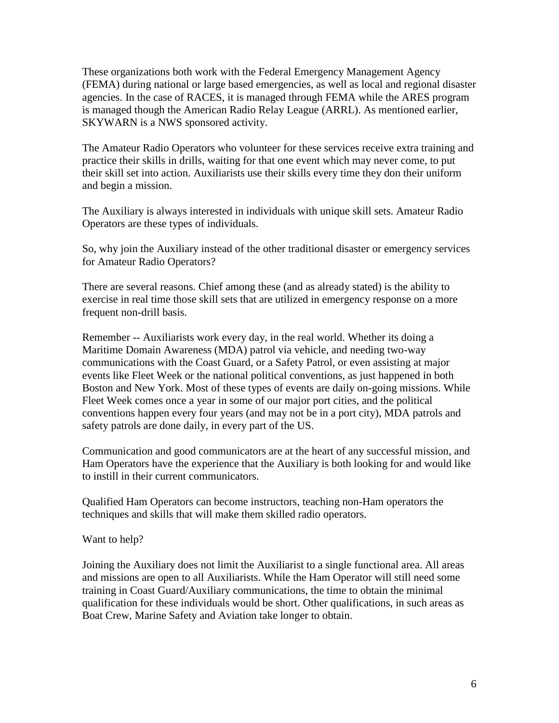These organizations both work with the Federal Emergency Management Agency (FEMA) during national or large based emergencies, as well as local and regional disaster agencies. In the case of RACES, it is managed through FEMA while the ARES program is managed though the American Radio Relay League (ARRL). As mentioned earlier, SKYWARN is a NWS sponsored activity.

The Amateur Radio Operators who volunteer for these services receive extra training and practice their skills in drills, waiting for that one event which may never come, to put their skill set into action. Auxiliarists use their skills every time they don their uniform and begin a mission.

The Auxiliary is always interested in individuals with unique skill sets. Amateur Radio Operators are these types of individuals.

So, why join the Auxiliary instead of the other traditional disaster or emergency services for Amateur Radio Operators?

There are several reasons. Chief among these (and as already stated) is the ability to exercise in real time those skill sets that are utilized in emergency response on a more frequent non-drill basis.

Remember -- Auxiliarists work every day, in the real world. Whether its doing a Maritime Domain Awareness (MDA) patrol via vehicle, and needing two-way communications with the Coast Guard, or a Safety Patrol, or even assisting at major events like Fleet Week or the national political conventions, as just happened in both Boston and New York. Most of these types of events are daily on-going missions. While Fleet Week comes once a year in some of our major port cities, and the political conventions happen every four years (and may not be in a port city), MDA patrols and safety patrols are done daily, in every part of the US.

Communication and good communicators are at the heart of any successful mission, and Ham Operators have the experience that the Auxiliary is both looking for and would like to instill in their current communicators.

Qualified Ham Operators can become instructors, teaching non-Ham operators the techniques and skills that will make them skilled radio operators.

Want to help?

Joining the Auxiliary does not limit the Auxiliarist to a single functional area. All areas and missions are open to all Auxiliarists. While the Ham Operator will still need some training in Coast Guard/Auxiliary communications, the time to obtain the minimal qualification for these individuals would be short. Other qualifications, in such areas as Boat Crew, Marine Safety and Aviation take longer to obtain.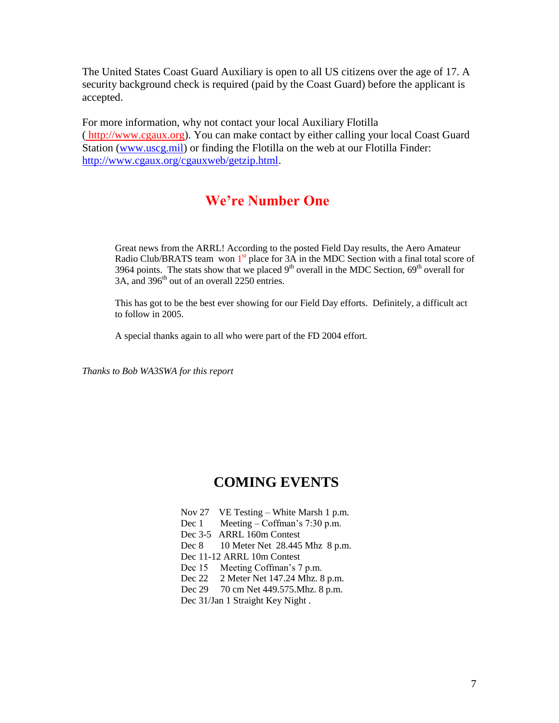The United States Coast Guard Auxiliary is open to all US citizens over the age of 17. A security background check is required (paid by the Coast Guard) before the applicant is accepted.

For more information, why not contact your local Auxiliary Flotilla ( [http://www.cgaux.org\)](http://www.cgaux.org/). You can make contact by either calling your local Coast Guard Station [\(www.uscg.mil\)](http://www.uscg.mil/) or finding the Flotilla on the web at our Flotilla Finder: [http://www.cgaux.org/cgauxweb/getzip.html.](http://www.cgaux.org/cgauxweb/getzip.html)

#### **We're Number One**

Great news from the ARRL! According to the posted Field Day results, the Aero Amateur Radio Club/BRATS team won  $1<sup>st</sup>$  place for  $3A$  in the MDC Section with a final total score of 3964 points. The stats show that we placed  $9<sup>th</sup>$  overall in the MDC Section,  $69<sup>th</sup>$  overall for  $34$ , and  $396$ <sup>th</sup> out of an overall 2250 entries.

This has got to be the best ever showing for our Field Day efforts. Definitely, a difficult act to follow in 2005.

A special thanks again to all who were part of the FD 2004 effort.

*Thanks to Bob WA3SWA for this report*

#### **COMING EVENTS**

- Nov 27 VE Testing White Marsh 1 p.m. Dec 1 Meeting – Coffman's 7:30 p.m. Dec 3-5 ARRL 160m Contest Dec 8 10 Meter Net 28.445 Mhz 8 p.m.
- Dec 11-12 ARRL 10m Contest
- Dec 15 Meeting Coffman's 7 p.m.
- Dec 22 2 Meter Net 147.24 Mhz. 8 p.m.
- Dec 29 70 cm Net 449.575. Mhz. 8 p.m.
- Dec 31/Jan 1 Straight Key Night .